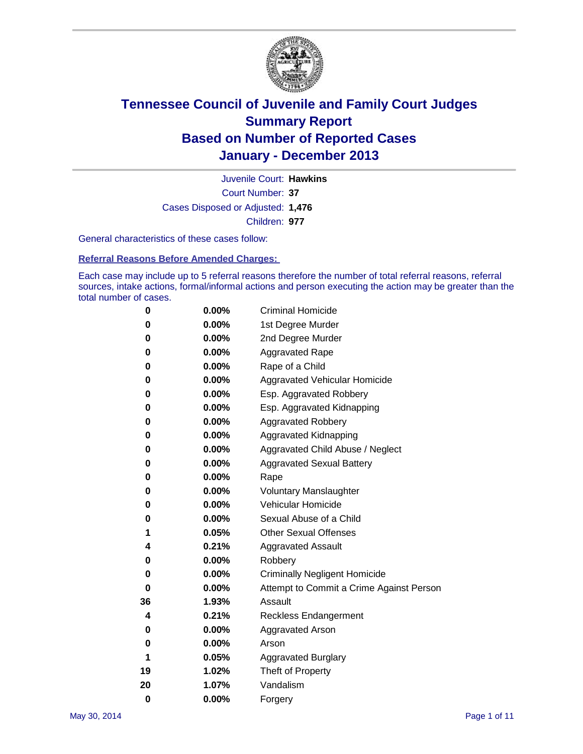

Court Number: **37** Juvenile Court: **Hawkins** Cases Disposed or Adjusted: **1,476** Children: **977**

General characteristics of these cases follow:

**Referral Reasons Before Amended Charges:** 

Each case may include up to 5 referral reasons therefore the number of total referral reasons, referral sources, intake actions, formal/informal actions and person executing the action may be greater than the total number of cases.

| 0        | $0.00\%$ | <b>Criminal Homicide</b>                 |
|----------|----------|------------------------------------------|
| 0        | 0.00%    | 1st Degree Murder                        |
| 0        | 0.00%    | 2nd Degree Murder                        |
| 0        | $0.00\%$ | <b>Aggravated Rape</b>                   |
| 0        | 0.00%    | Rape of a Child                          |
| 0        | $0.00\%$ | <b>Aggravated Vehicular Homicide</b>     |
| 0        | 0.00%    | Esp. Aggravated Robbery                  |
| 0        | 0.00%    | Esp. Aggravated Kidnapping               |
| 0        | $0.00\%$ | <b>Aggravated Robbery</b>                |
| 0        | 0.00%    | Aggravated Kidnapping                    |
| 0        | 0.00%    | Aggravated Child Abuse / Neglect         |
| 0        | 0.00%    | <b>Aggravated Sexual Battery</b>         |
| 0        | 0.00%    | Rape                                     |
| 0        | 0.00%    | <b>Voluntary Manslaughter</b>            |
| 0        | 0.00%    | Vehicular Homicide                       |
| 0        | 0.00%    | Sexual Abuse of a Child                  |
| 1        | 0.05%    | <b>Other Sexual Offenses</b>             |
| 4        | 0.21%    | <b>Aggravated Assault</b>                |
| 0        | 0.00%    | Robbery                                  |
| 0        | 0.00%    | <b>Criminally Negligent Homicide</b>     |
| 0        | 0.00%    | Attempt to Commit a Crime Against Person |
| 36       | 1.93%    | Assault                                  |
| 4        | 0.21%    | <b>Reckless Endangerment</b>             |
| 0        | 0.00%    | <b>Aggravated Arson</b>                  |
| 0        | 0.00%    | Arson                                    |
| 1        | 0.05%    | <b>Aggravated Burglary</b>               |
| 19       | 1.02%    | Theft of Property                        |
| 20       | 1.07%    | Vandalism                                |
| $\bf{0}$ | 0.00%    | Forgery                                  |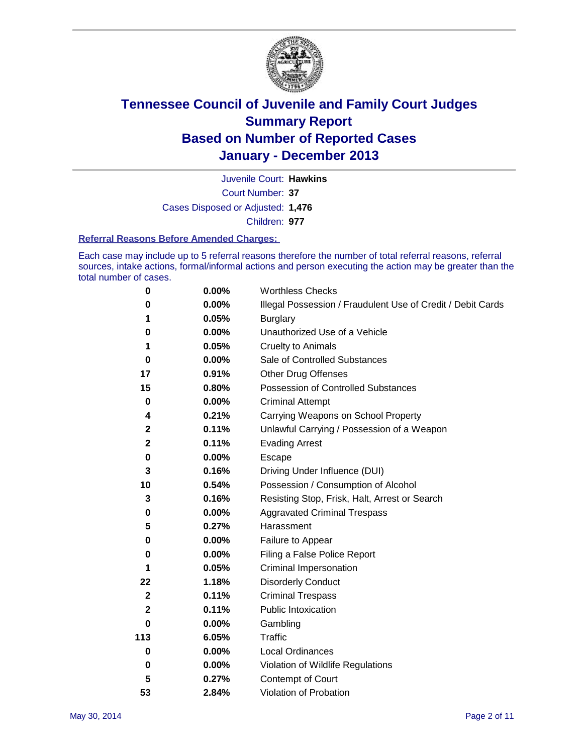

Court Number: **37** Juvenile Court: **Hawkins** Cases Disposed or Adjusted: **1,476** Children: **977**

#### **Referral Reasons Before Amended Charges:**

Each case may include up to 5 referral reasons therefore the number of total referral reasons, referral sources, intake actions, formal/informal actions and person executing the action may be greater than the total number of cases.

| 0            | 0.00%    | <b>Worthless Checks</b>                                     |
|--------------|----------|-------------------------------------------------------------|
| 0            | 0.00%    | Illegal Possession / Fraudulent Use of Credit / Debit Cards |
| 1            | 0.05%    | <b>Burglary</b>                                             |
| 0            | 0.00%    | Unauthorized Use of a Vehicle                               |
| 1            | 0.05%    | <b>Cruelty to Animals</b>                                   |
| $\bf{0}$     | 0.00%    | Sale of Controlled Substances                               |
| 17           | 0.91%    | <b>Other Drug Offenses</b>                                  |
| 15           | 0.80%    | Possession of Controlled Substances                         |
| $\pmb{0}$    | 0.00%    | <b>Criminal Attempt</b>                                     |
| 4            | 0.21%    | Carrying Weapons on School Property                         |
| $\mathbf 2$  | 0.11%    | Unlawful Carrying / Possession of a Weapon                  |
| $\mathbf 2$  | 0.11%    | <b>Evading Arrest</b>                                       |
| 0            | 0.00%    | Escape                                                      |
| 3            | 0.16%    | Driving Under Influence (DUI)                               |
| 10           | 0.54%    | Possession / Consumption of Alcohol                         |
| 3            | 0.16%    | Resisting Stop, Frisk, Halt, Arrest or Search               |
| 0            | 0.00%    | <b>Aggravated Criminal Trespass</b>                         |
| 5            | 0.27%    | Harassment                                                  |
| 0            | 0.00%    | Failure to Appear                                           |
| 0            | 0.00%    | Filing a False Police Report                                |
| 1            | 0.05%    | Criminal Impersonation                                      |
| 22           | 1.18%    | <b>Disorderly Conduct</b>                                   |
| $\mathbf{2}$ | 0.11%    | <b>Criminal Trespass</b>                                    |
| $\mathbf 2$  | 0.11%    | <b>Public Intoxication</b>                                  |
| 0            | 0.00%    | Gambling                                                    |
| 113          | 6.05%    | <b>Traffic</b>                                              |
| $\bf{0}$     | $0.00\%$ | <b>Local Ordinances</b>                                     |
| 0            | $0.00\%$ | Violation of Wildlife Regulations                           |
| 5            | 0.27%    | Contempt of Court                                           |
| 53           | 2.84%    | Violation of Probation                                      |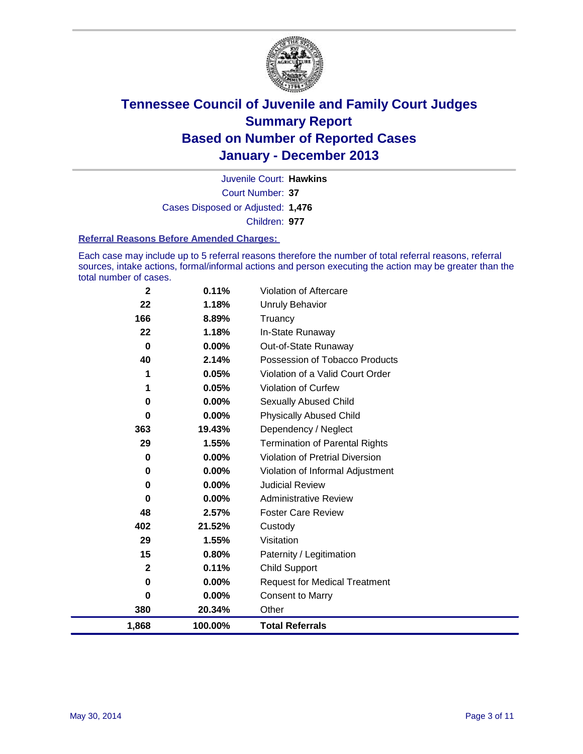

Court Number: **37** Juvenile Court: **Hawkins** Cases Disposed or Adjusted: **1,476** Children: **977**

#### **Referral Reasons Before Amended Charges:**

Each case may include up to 5 referral reasons therefore the number of total referral reasons, referral sources, intake actions, formal/informal actions and person executing the action may be greater than the total number of cases.

| $\mathbf 2$ | 0.11%    | <b>Violation of Aftercare</b>          |
|-------------|----------|----------------------------------------|
| 22          | 1.18%    | Unruly Behavior                        |
| 166         | 8.89%    | Truancy                                |
| 22          | 1.18%    | In-State Runaway                       |
| $\mathbf 0$ | $0.00\%$ | Out-of-State Runaway                   |
| 40          | 2.14%    | Possession of Tobacco Products         |
| 1           | 0.05%    | Violation of a Valid Court Order       |
| 1           | 0.05%    | <b>Violation of Curfew</b>             |
| 0           | $0.00\%$ | Sexually Abused Child                  |
| 0           | 0.00%    | <b>Physically Abused Child</b>         |
| 363         | 19.43%   | Dependency / Neglect                   |
| 29          | 1.55%    | <b>Termination of Parental Rights</b>  |
| 0           | 0.00%    | <b>Violation of Pretrial Diversion</b> |
| 0           | 0.00%    | Violation of Informal Adjustment       |
| 0           | $0.00\%$ | <b>Judicial Review</b>                 |
| 0           | $0.00\%$ | <b>Administrative Review</b>           |
| 48          | 2.57%    | <b>Foster Care Review</b>              |
| 402         | 21.52%   | Custody                                |
| 29          | 1.55%    | Visitation                             |
| 15          | 0.80%    | Paternity / Legitimation               |
| $\mathbf 2$ | 0.11%    | <b>Child Support</b>                   |
| 0           | 0.00%    | <b>Request for Medical Treatment</b>   |
| $\bf{0}$    | 0.00%    | <b>Consent to Marry</b>                |
| 380         | 20.34%   | Other                                  |
| 1,868       | 100.00%  | <b>Total Referrals</b>                 |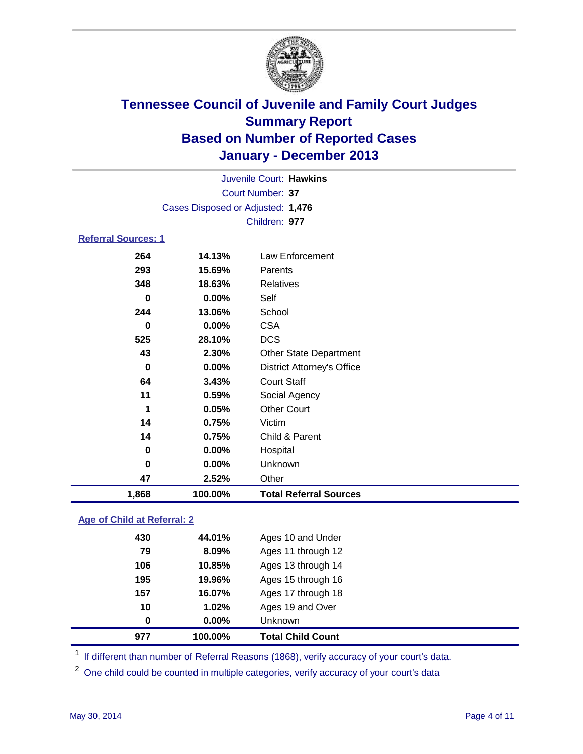

|                            |                                   | Juvenile Court: Hawkins |                 |  |
|----------------------------|-----------------------------------|-------------------------|-----------------|--|
|                            |                                   | Court Number: 37        |                 |  |
|                            | Cases Disposed or Adjusted: 1,476 |                         |                 |  |
|                            |                                   | Children: 977           |                 |  |
| <b>Referral Sources: 1</b> |                                   |                         |                 |  |
| 264                        | 14 13%                            |                         | Law Enforcement |  |

| 1,868 | 100.00%  | <b>Total Referral Sources</b>     |
|-------|----------|-----------------------------------|
| 47    | 2.52%    | Other                             |
| 0     | $0.00\%$ | Unknown                           |
| 0     | 0.00%    | Hospital                          |
| 14    | 0.75%    | Child & Parent                    |
| 14    | 0.75%    | Victim                            |
| 1     | 0.05%    | <b>Other Court</b>                |
| 11    | 0.59%    | Social Agency                     |
| 64    | 3.43%    | <b>Court Staff</b>                |
| 0     | $0.00\%$ | <b>District Attorney's Office</b> |
| 43    | 2.30%    | <b>Other State Department</b>     |
| 525   | 28.10%   | <b>DCS</b>                        |
| 0     | 0.00%    | <b>CSA</b>                        |
| 244   | 13.06%   | School                            |
| 0     | 0.00%    | Self                              |
| 348   | 18.63%   | Relatives                         |
| 293   | 15.69%   | Parents                           |
| 264   | 14.13%   | Law Enforcement                   |

### **Age of Child at Referral: 2**

| 10<br>0 | 1.02%<br>$0.00\%$<br>100.00% | Ages 19 and Over<br>Unknown |
|---------|------------------------------|-----------------------------|
|         |                              | Ages 17 through 18          |
| 157     | 16.07%                       |                             |
| 195     | 19.96%                       | Ages 15 through 16          |
| 106     | 10.85%                       | Ages 13 through 14          |
| 79      | 8.09%                        | Ages 11 through 12          |
| 430     | 44.01%                       | Ages 10 and Under           |

<sup>1</sup> If different than number of Referral Reasons (1868), verify accuracy of your court's data.

<sup>2</sup> One child could be counted in multiple categories, verify accuracy of your court's data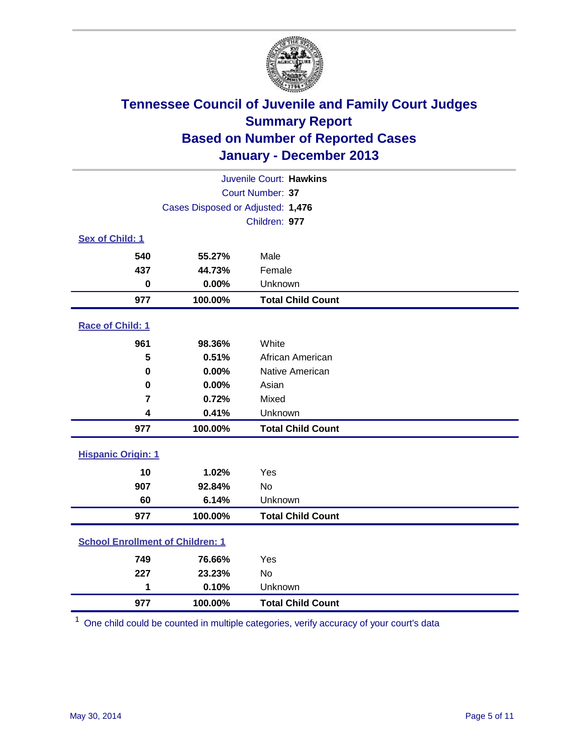

|                                         |                                   | Juvenile Court: Hawkins  |
|-----------------------------------------|-----------------------------------|--------------------------|
|                                         |                                   | Court Number: 37         |
|                                         | Cases Disposed or Adjusted: 1,476 |                          |
|                                         |                                   | Children: 977            |
| Sex of Child: 1                         |                                   |                          |
| 540                                     | 55.27%                            | Male                     |
| 437                                     | 44.73%                            | Female                   |
| $\bf{0}$                                | 0.00%                             | Unknown                  |
| 977                                     | 100.00%                           | <b>Total Child Count</b> |
| Race of Child: 1                        |                                   |                          |
| 961                                     | 98.36%                            | White                    |
| 5                                       | 0.51%                             | African American         |
| 0                                       | 0.00%                             | Native American          |
| $\bf{0}$                                | 0.00%                             | Asian                    |
| $\overline{7}$                          | 0.72%                             | Mixed                    |
| 4                                       | 0.41%                             | Unknown                  |
| 977                                     | 100.00%                           | <b>Total Child Count</b> |
| <b>Hispanic Origin: 1</b>               |                                   |                          |
| 10                                      | 1.02%                             | Yes                      |
| 907                                     | 92.84%                            | No                       |
| 60                                      | 6.14%                             | Unknown                  |
| 977                                     | 100.00%                           | <b>Total Child Count</b> |
| <b>School Enrollment of Children: 1</b> |                                   |                          |
| 749                                     | 76.66%                            | Yes                      |
| 227                                     | 23.23%                            | <b>No</b>                |
| 1                                       | 0.10%                             | Unknown                  |
| 977                                     | 100.00%                           | <b>Total Child Count</b> |

One child could be counted in multiple categories, verify accuracy of your court's data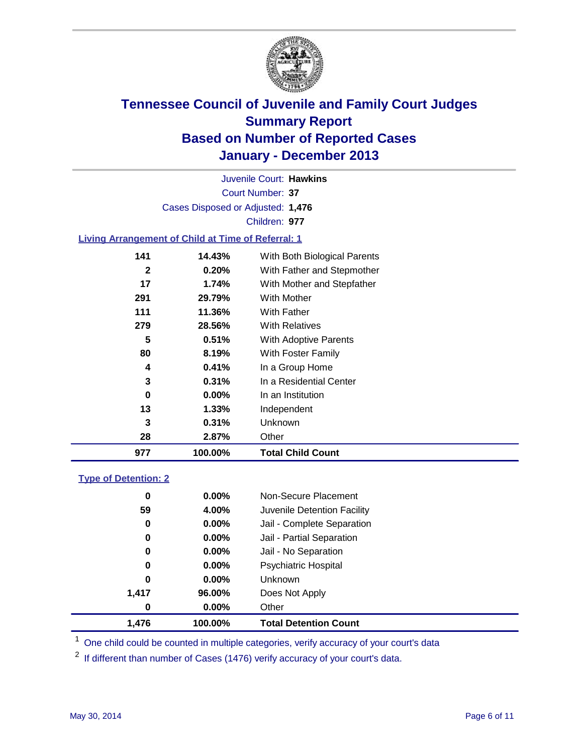

Court Number: **37** Juvenile Court: **Hawkins** Cases Disposed or Adjusted: **1,476** Children: **977**

### **Living Arrangement of Child at Time of Referral: 1**

| 977 | 100.00%  | <b>Total Child Count</b>     |
|-----|----------|------------------------------|
| 28  | 2.87%    | Other                        |
| 3   | 0.31%    | Unknown                      |
| 13  | 1.33%    | Independent                  |
| 0   | $0.00\%$ | In an Institution            |
| 3   | 0.31%    | In a Residential Center      |
| 4   | 0.41%    | In a Group Home              |
| 80  | 8.19%    | With Foster Family           |
| 5   | 0.51%    | <b>With Adoptive Parents</b> |
| 279 | 28.56%   | <b>With Relatives</b>        |
| 111 | 11.36%   | With Father                  |
| 291 | 29.79%   | With Mother                  |
| 17  | 1.74%    | With Mother and Stepfather   |
| 2   | 0.20%    | With Father and Stepmother   |
| 141 | 14.43%   | With Both Biological Parents |
|     |          |                              |

### **Type of Detention: 2**

| 1,476 | 100.00%  | <b>Total Detention Count</b> |  |
|-------|----------|------------------------------|--|
| 0     | $0.00\%$ | Other                        |  |
| 1,417 | 96.00%   | Does Not Apply               |  |
| 0     | $0.00\%$ | <b>Unknown</b>               |  |
| 0     | $0.00\%$ | <b>Psychiatric Hospital</b>  |  |
| 0     | 0.00%    | Jail - No Separation         |  |
| 0     | $0.00\%$ | Jail - Partial Separation    |  |
| 0     | 0.00%    | Jail - Complete Separation   |  |
| 59    | 4.00%    | Juvenile Detention Facility  |  |
| 0     | 0.00%    | Non-Secure Placement         |  |
|       |          |                              |  |

<sup>1</sup> One child could be counted in multiple categories, verify accuracy of your court's data

If different than number of Cases (1476) verify accuracy of your court's data.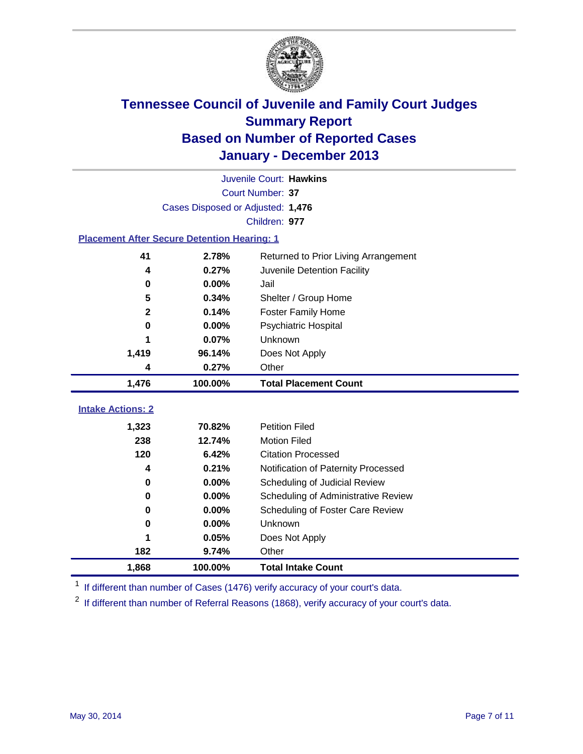

|                                                    |                                   | Juvenile Court: Hawkins              |
|----------------------------------------------------|-----------------------------------|--------------------------------------|
|                                                    |                                   | Court Number: 37                     |
|                                                    | Cases Disposed or Adjusted: 1,476 |                                      |
|                                                    |                                   | Children: 977                        |
| <b>Placement After Secure Detention Hearing: 1</b> |                                   |                                      |
| 41                                                 | 2.78%                             | Returned to Prior Living Arrangement |
| 4                                                  | 0.27%                             | Juvenile Detention Facility          |
| 0                                                  | 0.00%                             | Jail                                 |
| 5                                                  | 0.34%                             | Shelter / Group Home                 |
| $\overline{\mathbf{2}}$                            | 0.14%                             | <b>Foster Family Home</b>            |
| 0                                                  | 0.00%                             | Psychiatric Hospital                 |
|                                                    | 0.07%                             | Unknown                              |
| 1,419                                              | 96.14%                            | Does Not Apply                       |
| 4                                                  | 0.27%                             | Other                                |
| 1,476                                              | 100.00%                           | <b>Total Placement Count</b>         |
| <b>Intake Actions: 2</b>                           |                                   |                                      |
|                                                    |                                   |                                      |
| 1,323                                              | 70.82%                            | <b>Petition Filed</b>                |
| 238                                                | 12.74%                            | <b>Motion Filed</b>                  |
| 120                                                | 6.42%                             | <b>Citation Processed</b>            |
| 4                                                  | 0.21%                             | Notification of Paternity Processed  |
| 0                                                  | 0.00%                             | Scheduling of Judicial Review        |
| 0                                                  | 0.00%                             | Scheduling of Administrative Review  |
| 0                                                  | 0.00%                             | Scheduling of Foster Care Review     |
| $\bf{0}$                                           | 0.00%                             | Unknown                              |
| 1                                                  | 0.05%                             | Does Not Apply                       |
| 182                                                | 9.74%                             | Other                                |
| 1,868                                              | 100.00%                           | <b>Total Intake Count</b>            |

<sup>1</sup> If different than number of Cases (1476) verify accuracy of your court's data.

 $2$  If different than number of Referral Reasons (1868), verify accuracy of your court's data.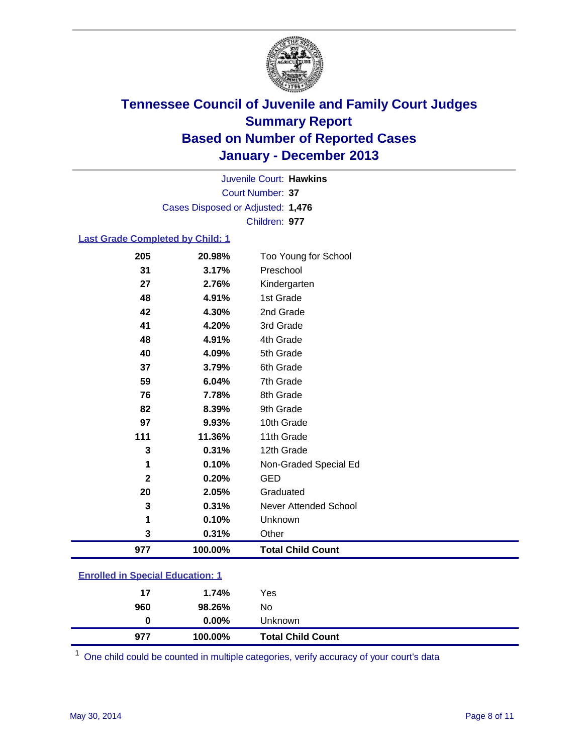

Court Number: **37** Juvenile Court: **Hawkins** Cases Disposed or Adjusted: **1,476** Children: **977**

### **Last Grade Completed by Child: 1**

| 205         | 20.98%  | Too Young for School         |
|-------------|---------|------------------------------|
| 31          | 3.17%   | Preschool                    |
| 27          | 2.76%   | Kindergarten                 |
| 48          | 4.91%   | 1st Grade                    |
| 42          | 4.30%   | 2nd Grade                    |
| 41          | 4.20%   | 3rd Grade                    |
| 48          | 4.91%   | 4th Grade                    |
| 40          | 4.09%   | 5th Grade                    |
| 37          | 3.79%   | 6th Grade                    |
| 59          | 6.04%   | 7th Grade                    |
| 76          | 7.78%   | 8th Grade                    |
| 82          | 8.39%   | 9th Grade                    |
| 97          | 9.93%   | 10th Grade                   |
| 111         | 11.36%  | 11th Grade                   |
| 3           | 0.31%   | 12th Grade                   |
| 1           | 0.10%   | Non-Graded Special Ed        |
| $\mathbf 2$ | 0.20%   | <b>GED</b>                   |
| 20          | 2.05%   | Graduated                    |
| 3           | 0.31%   | <b>Never Attended School</b> |
| 1           | 0.10%   | Unknown                      |
| 3           | 0.31%   | Other                        |
| 977         | 100.00% | <b>Total Child Count</b>     |

| <b>Enrolled in Special Education: 1</b> |  |
|-----------------------------------------|--|
|                                         |  |

| 960 | 98.26%   | No                       |  |
|-----|----------|--------------------------|--|
| 0   | $0.00\%$ | <b>Unknown</b>           |  |
| 977 | 100.00%  | <b>Total Child Count</b> |  |

One child could be counted in multiple categories, verify accuracy of your court's data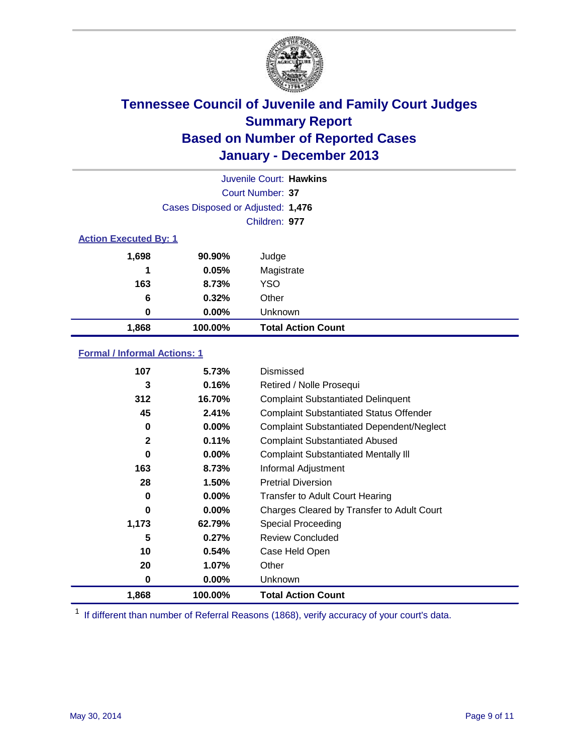

|                              | Juvenile Court: Hawkins           |                           |  |  |
|------------------------------|-----------------------------------|---------------------------|--|--|
|                              | Court Number: 37                  |                           |  |  |
|                              | Cases Disposed or Adjusted: 1,476 |                           |  |  |
|                              |                                   | Children: 977             |  |  |
| <b>Action Executed By: 1</b> |                                   |                           |  |  |
| 1,698                        | 90.90%                            | Judge                     |  |  |
| 1                            | 0.05%                             | Magistrate                |  |  |
| 163                          | 8.73%                             | <b>YSO</b>                |  |  |
| 6                            | 0.32%                             | Other                     |  |  |
| 0                            | $0.00\%$                          | Unknown                   |  |  |
| 1,868                        | 100.00%                           | <b>Total Action Count</b> |  |  |

### **Formal / Informal Actions: 1**

| 107          | 5.73%    | Dismissed                                        |
|--------------|----------|--------------------------------------------------|
| 3            | 0.16%    | Retired / Nolle Prosequi                         |
| 312          | 16.70%   | <b>Complaint Substantiated Delinquent</b>        |
| 45           | 2.41%    | <b>Complaint Substantiated Status Offender</b>   |
| 0            | 0.00%    | <b>Complaint Substantiated Dependent/Neglect</b> |
| $\mathbf{2}$ | 0.11%    | <b>Complaint Substantiated Abused</b>            |
| 0            | $0.00\%$ | <b>Complaint Substantiated Mentally III</b>      |
| 163          | 8.73%    | Informal Adjustment                              |
| 28           | 1.50%    | <b>Pretrial Diversion</b>                        |
| 0            | $0.00\%$ | <b>Transfer to Adult Court Hearing</b>           |
| 0            | $0.00\%$ | Charges Cleared by Transfer to Adult Court       |
| 1,173        | 62.79%   | Special Proceeding                               |
| 5            | 0.27%    | <b>Review Concluded</b>                          |
| 10           | 0.54%    | Case Held Open                                   |
| 20           | $1.07\%$ | Other                                            |
| 0            | $0.00\%$ | Unknown                                          |
| 1,868        | 100.00%  | <b>Total Action Count</b>                        |

<sup>1</sup> If different than number of Referral Reasons (1868), verify accuracy of your court's data.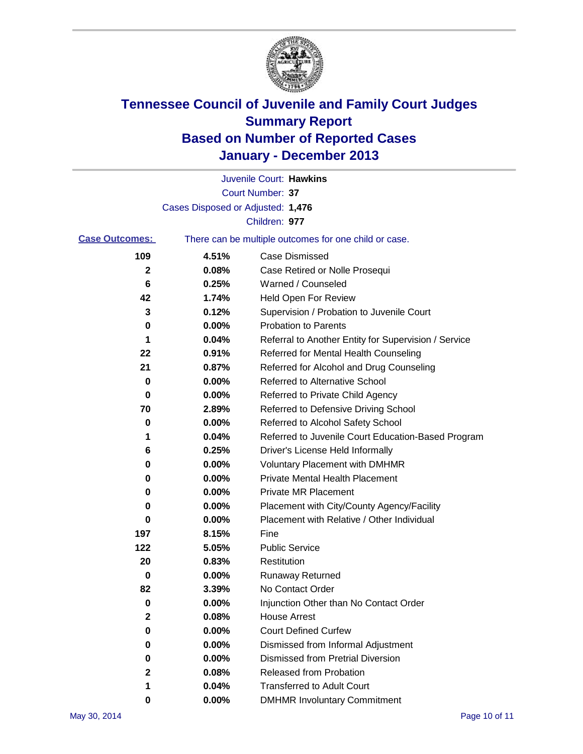

|          | Juvenile Court: Hawkins                               |
|----------|-------------------------------------------------------|
|          | Court Number: 37                                      |
|          |                                                       |
|          | Children: 977                                         |
|          | There can be multiple outcomes for one child or case. |
| 4.51%    | Case Dismissed                                        |
| 0.08%    | Case Retired or Nolle Prosequi                        |
| 0.25%    | Warned / Counseled                                    |
| 1.74%    | Held Open For Review                                  |
| 0.12%    | Supervision / Probation to Juvenile Court             |
| $0.00\%$ | <b>Probation to Parents</b>                           |
| 0.04%    | Referral to Another Entity for Supervision / Service  |
| 0.91%    | Referred for Mental Health Counseling                 |
| 0.87%    | Referred for Alcohol and Drug Counseling              |
| 0.00%    | <b>Referred to Alternative School</b>                 |
| 0.00%    | Referred to Private Child Agency                      |
| 2.89%    | Referred to Defensive Driving School                  |
| 0.00%    | Referred to Alcohol Safety School                     |
| 0.04%    | Referred to Juvenile Court Education-Based Program    |
| 0.25%    | Driver's License Held Informally                      |
| 0.00%    | <b>Voluntary Placement with DMHMR</b>                 |
| 0.00%    | <b>Private Mental Health Placement</b>                |
| 0.00%    | <b>Private MR Placement</b>                           |
| $0.00\%$ | Placement with City/County Agency/Facility            |
| 0.00%    | Placement with Relative / Other Individual            |
| 8.15%    | Fine                                                  |
| 5.05%    | <b>Public Service</b>                                 |
| 0.83%    | Restitution                                           |
| 0.00%    | <b>Runaway Returned</b>                               |
| 3.39%    | No Contact Order                                      |
| 0.00%    | Injunction Other than No Contact Order                |
| 0.08%    | <b>House Arrest</b>                                   |
| 0.00%    | <b>Court Defined Curfew</b>                           |
| $0.00\%$ | Dismissed from Informal Adjustment                    |
| 0.00%    | <b>Dismissed from Pretrial Diversion</b>              |
| 0.08%    | Released from Probation                               |
| 0.04%    | <b>Transferred to Adult Court</b>                     |
| $0.00\%$ | <b>DMHMR Involuntary Commitment</b>                   |
|          | Cases Disposed or Adjusted: 1,476                     |